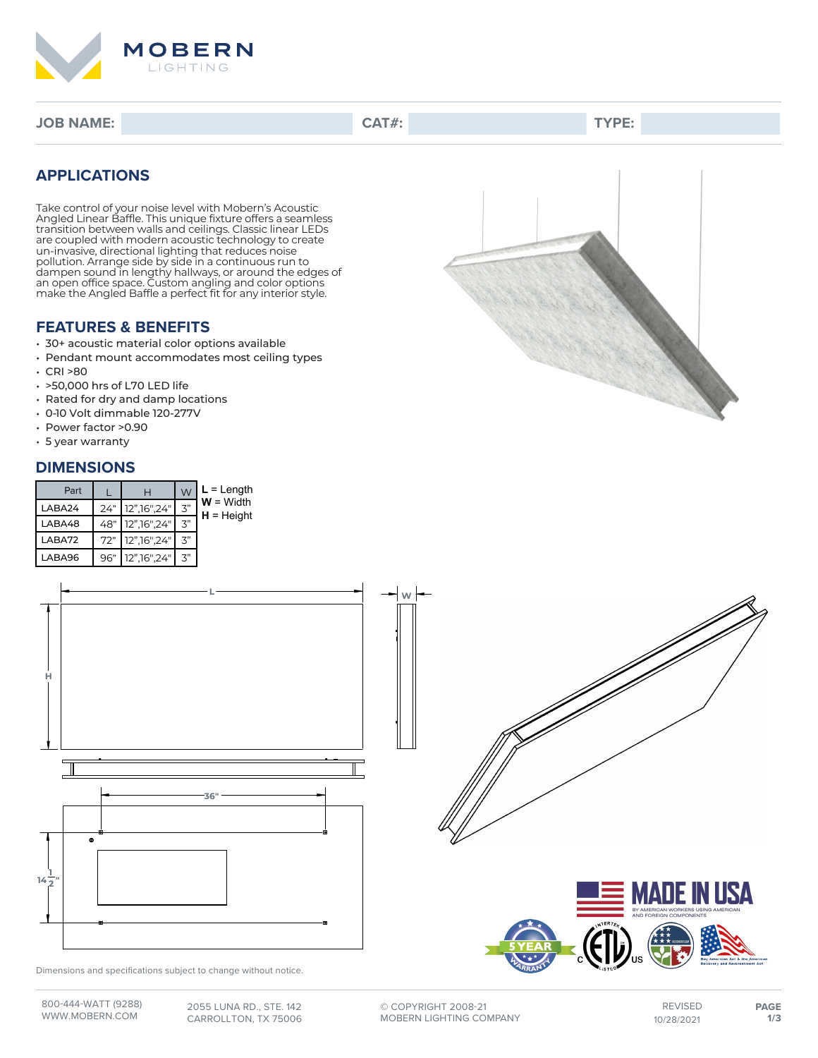

**JOB NAME: CAT#: TYPE:**

### **APPLICATIONS**

Take control of your noise level with Mobern's Acoustic Angled Linear Baffle. This unique fixture offers a seamless transition between walls and ceilings. Classic linear LEDs are coupled with modern acoustic technology to create un-invasive, directional lighting that reduces noise pollution. Arrange side by side in a continuous run to dampen sound in lengthy hallways, or around the edges of an open office space. Custom angling and color options make the Angled Baffle a perfect fit for any interior style.

### **FEATURES & BENEFITS**

- 30+ acoustic material color options available
- Pendant mount accommodates most ceiling types
- $\cdot$  CRI >80
- >50,000 hrs of L70 LED life
- Rated for dry and damp locations
- 0-10 Volt dimmable 120-277V
- Power factor >0.90
- 5 year warranty

#### **DIMENSIONS**

| Part   | н                    | W                     | $L = Length$                |
|--------|----------------------|-----------------------|-----------------------------|
| LABA24 | 24" 12", 16", 24"    | マ"                    | $W = Width$<br>$H = Height$ |
| LABA48 | 48" 12", 16", 24"    | マ"                    |                             |
| LABA72 | 72" 12", 16", 24"    | ゙゙゙゚゙゙゙゚゙゙゚゙゙゚゙゙゚゙゚゙゚ |                             |
| LABA96 | 96" 12", 16", 24" 3" |                       |                             |



Dimensions and specifications subject to change without notice.







**©** COPYRIGHT 2008-21 MOBERN LIGHTING COMPANY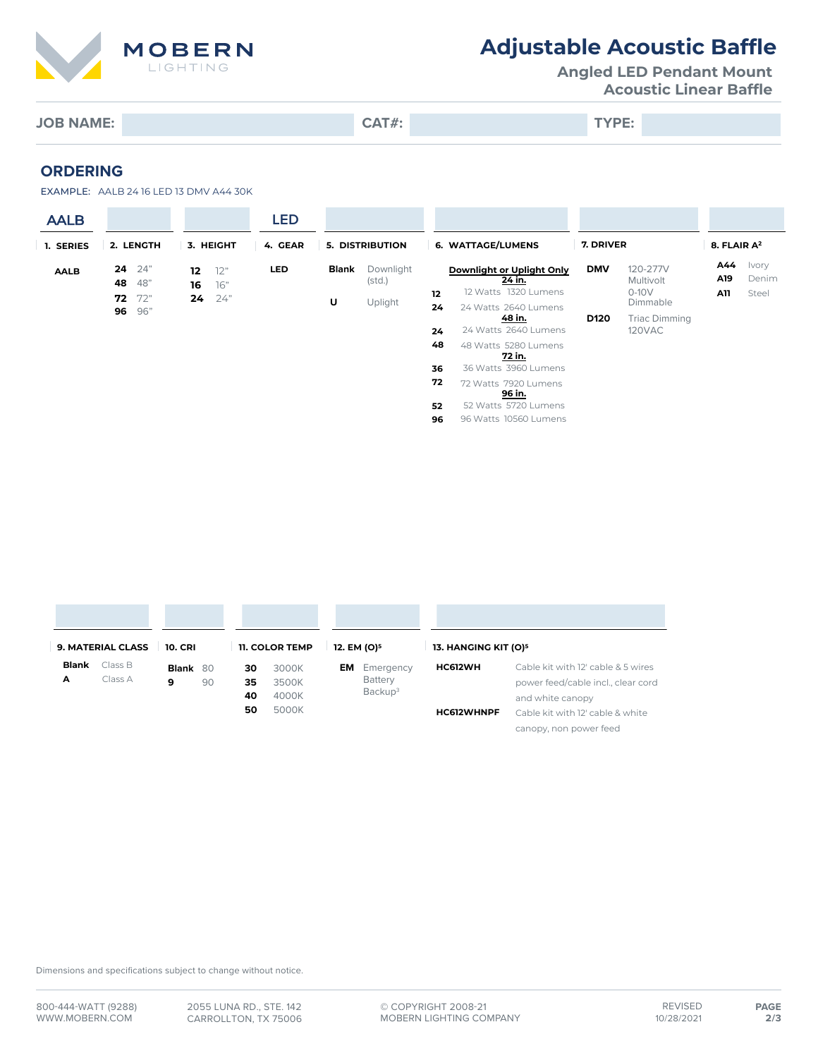

# **Adjustable Acoustic Baffle**

**Angled LED Pendant Mount Acoustic Linear Baffle**

**JOB NAME: CAT#: TYPE:**

**ORDERING**

EXAMPLE: AALB 24 16 LED 13 DMV A44 30K

| <b>AALB</b> |                                                  |                                     | LED        |                        |                                 |                                                                   |                                                        |                  |                                              |                   |                         |
|-------------|--------------------------------------------------|-------------------------------------|------------|------------------------|---------------------------------|-------------------------------------------------------------------|--------------------------------------------------------|------------------|----------------------------------------------|-------------------|-------------------------|
| 1. SERIES   | 2. LENGTH                                        | 3. HEIGHT                           | 4. GEAR    | <b>5. DISTRIBUTION</b> |                                 | <b>6. WATTAGE/LUMENS</b>                                          |                                                        | 7. DRIVER        |                                              | 8. FLAIR $A^2$    |                         |
| <b>AALB</b> | 24"<br>24<br>48"<br>48<br>72"<br>72<br>96"<br>96 | 12"<br>12<br>76"<br>16<br>24"<br>24 | <b>LED</b> | Blank<br>U             | Downlight<br>(stat.)<br>Uplight | Downlight or Uplight Only<br>24 in.<br>12 Watts 1320 Lumens<br>12 |                                                        | <b>DMV</b>       | 120-277V<br>Multivolt<br>$0-10V$<br>Dimmable | A44<br>A19<br>A11 | Ivory<br>Denim<br>Steel |
|             |                                                  |                                     |            |                        |                                 | 24<br>24                                                          | 24 Watts 2640 Lumens<br>48 in.<br>24 Watts 2640 Lumens | D <sub>120</sub> | Triac Dimming<br>120VAC                      |                   |                         |
|             |                                                  |                                     |            |                        |                                 | 48<br>36                                                          | 48 Watts 5280 Lumens<br>72 in.<br>36 Watts 3960 Lumens |                  |                                              |                   |                         |
|             |                                                  |                                     |            |                        |                                 | 72                                                                | 72 Watts 7920 Lumens<br>96 in.                         |                  |                                              |                   |                         |
|             |                                                  |                                     |            |                        |                                 | 52<br>96                                                          | 52 Watts 5720 Lumens<br>96 Watts 10560 Lumens          |                  |                                              |                   |                         |

| <b>9. MATERIAL CLASS</b><br><b>10. CRI</b> |         |          | <b>11. COLOR TEMP</b> |    | 12. EM (O) <sup>5</sup> | 13. HANGING KIT (O) <sup>5</sup> |                     |                   |                                    |
|--------------------------------------------|---------|----------|-----------------------|----|-------------------------|----------------------------------|---------------------|-------------------|------------------------------------|
| Blank                                      | Class B | Blank 80 |                       | 30 | 3000K                   | EM I                             | Emergency           | HC612WH           | Cable kit with 12' cable & 5 wires |
| А                                          | Class A | 9        | 90                    | 35 | 3500K                   |                                  | Battery             |                   | power feed/cable incl., clear cord |
|                                            |         |          |                       | 40 | 4000K                   |                                  | Backup <sup>3</sup> |                   | and white canopy                   |
|                                            |         |          |                       | 50 | 5000K                   |                                  |                     | <b>HC612WHNPF</b> | Cable kit with 12' cable & white   |
|                                            |         |          |                       |    |                         |                                  |                     |                   | canopy, non power feed             |

Dimensions and specifications subject to change without notice.